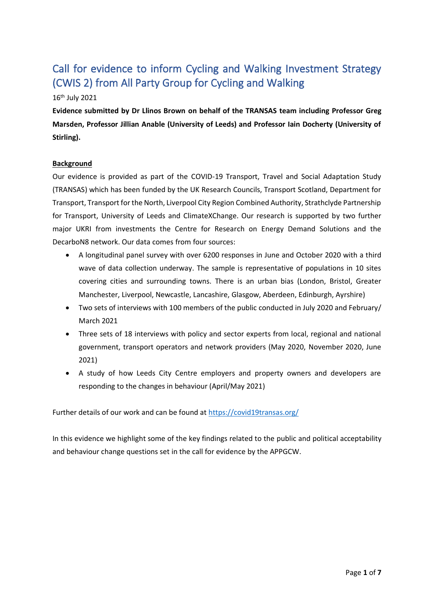# Call for evidence to inform Cycling and Walking Investment Strategy (CWIS 2) from All Party Group for Cycling and Walking

## 16th July 2021

**Evidence submitted by Dr Llinos Brown on behalf of the TRANSAS team including Professor Greg Marsden, Professor Jillian Anable (University of Leeds) and Professor Iain Docherty (University of Stirling).**

#### **Background**

Our evidence is provided as part of the COVID-19 Transport, Travel and Social Adaptation Study (TRANSAS) which has been funded by the UK Research Councils, Transport Scotland, Department for Transport, Transport for the North, Liverpool City Region Combined Authority, Strathclyde Partnership for Transport, University of Leeds and ClimateXChange. Our research is supported by two further major UKRI from investments the Centre for Research on Energy Demand Solutions and the DecarboN8 network. Our data comes from four sources:

- A longitudinal panel survey with over 6200 responses in June and October 2020 with a third wave of data collection underway. The sample is representative of populations in 10 sites covering cities and surrounding towns. There is an urban bias (London, Bristol, Greater Manchester, Liverpool, Newcastle, Lancashire, Glasgow, Aberdeen, Edinburgh, Ayrshire)
- Two sets of interviews with 100 members of the public conducted in July 2020 and February/ March 2021
- Three sets of 18 interviews with policy and sector experts from local, regional and national government, transport operators and network providers (May 2020, November 2020, June 2021)
- A study of how Leeds City Centre employers and property owners and developers are responding to the changes in behaviour (April/May 2021)

Further details of our work and can be found at<https://covid19transas.org/>

In this evidence we highlight some of the key findings related to the public and political acceptability and behaviour change questions set in the call for evidence by the APPGCW.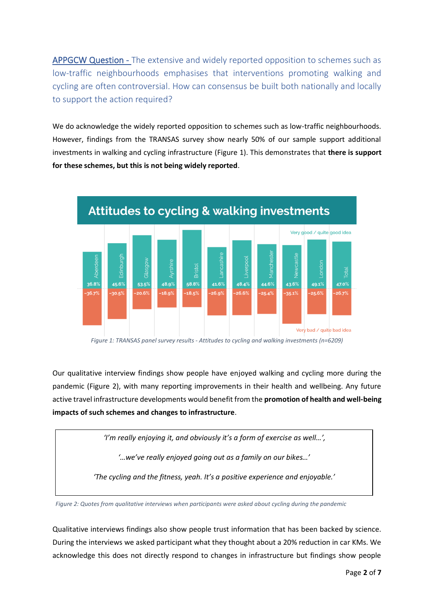APPGCW Question - The extensive and widely reported opposition to schemes such as low-traffic neighbourhoods emphasises that interventions promoting walking and cycling are often controversial. How can consensus be built both nationally and locally to support the action required?

We do acknowledge the widely reported opposition to schemes such as low-traffic neighbourhoods. However, findings from the TRANSAS survey show nearly 50% of our sample support additional investments in walking and cycling infrastructure [\(Figure 1\)](#page-1-0). This demonstrates that **there is support for these schemes, but this is not being widely reported**.



*Figure 1: TRANSAS panel survey results - Attitudes to cycling and walking investments (n=6209)*

<span id="page-1-0"></span>Our qualitative interview findings show people have enjoyed walking and cycling more during the pandemic [\(Figure 2\)](#page-1-1), with many reporting improvements in their health and wellbeing. Any future active travel infrastructure developments would benefit from the **promotion of health and well-being impacts of such schemes and changes to infrastructure**.

*'I'm really enjoying it, and obviously it's a form of exercise as well…',*

*'…we've really enjoyed going out as a family on our bikes…'*

*'The cycling and the fitness, yeah. It's a positive experience and enjoyable.'*

<span id="page-1-1"></span>*Figure 2: Quotes from qualitative interviews when participants were asked about cycling during the pandemic*

Qualitative interviews findings also show people trust information that has been backed by science. During the interviews we asked participant what they thought about a 20% reduction in car KMs. We acknowledge this does not directly respond to changes in infrastructure but findings show people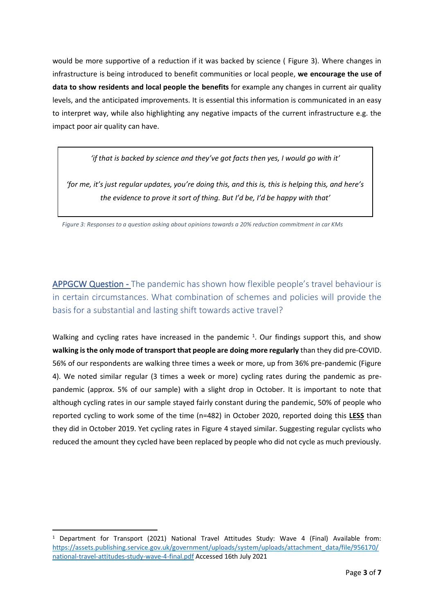would be more supportive of a reduction if it was backed by science ( [Figure 3\)](#page-2-0). Where changes in infrastructure is being introduced to benefit communities or local people, **we encourage the use of data to show residents and local people the benefits** for example any changes in current air quality levels, and the anticipated improvements. It is essential this information is communicated in an easy to interpret way, while also highlighting any negative impacts of the current infrastructure e.g. the impact poor air quality can have.

*'if that is backed by science and they've got facts then yes, I would go with it'*

*'for me, it's just regular updates, you're doing this, and this is, this is helping this, and here's the evidence to prove it sort of thing. But I'd be, I'd be happy with that'*

<span id="page-2-0"></span>*Figure 3: Responses to a question asking about opinions towards a 20% reduction commitment in car KMs*

APPGCW Question - The pandemic has shown how flexible people's travel behaviour is in certain circumstances. What combination of schemes and policies will provide the basis for a substantial and lasting shift towards active travel?

Walking and cycling rates have increased in the pandemic <sup>1</sup>. Our findings support this, and show **walking is the only mode of transport that people are doing more regularly** than they did pre-COVID. 56% of our respondents are walking three times a week or more, up from 36% pre-pandemic [\(Figure](#page-3-0)  [4\)](#page-3-0). We noted similar regular (3 times a week or more) cycling rates during the pandemic as prepandemic (approx. 5% of our sample) with a slight drop in October. It is important to note that although cycling rates in our sample stayed fairly constant during the pandemic, 50% of people who reported cycling to work some of the time (n=482) in October 2020, reported doing this **LESS** than they did in October 2019. Yet cycling rates in [Figure 4](#page-3-0) stayed similar. Suggesting regular cyclists who reduced the amount they cycled have been replaced by people who did not cycle as much previously.

<sup>&</sup>lt;sup>1</sup> Department for Transport (2021) National Travel Attitudes Study: Wave 4 (Final) Available from: [https://assets.publishing.service.gov.uk/government/uploads/system/uploads/attachment\\_data/file/956170/](https://assets.publishing.service.gov.uk/government/uploads/system/uploads/attachment_data/file/956170/national-travel-attitudes-study-wave-4-final.pdf) [national-travel-attitudes-study-wave-4-final.pdf](https://assets.publishing.service.gov.uk/government/uploads/system/uploads/attachment_data/file/956170/national-travel-attitudes-study-wave-4-final.pdf) Accessed 16th July 2021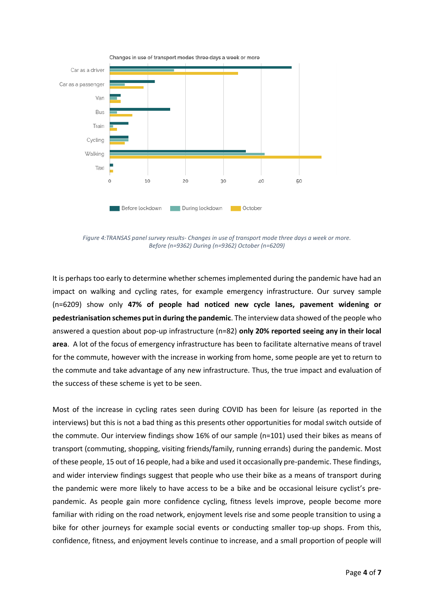

<span id="page-3-0"></span>*Figure 4:TRANSAS panel survey results- Changes in use of transport mode three days a week or more. Before (n=9362) During (n=9362) October (n=6209)*

It is perhaps too early to determine whether schemes implemented during the pandemic have had an impact on walking and cycling rates, for example emergency infrastructure. Our survey sample (n=6209) show only **47% of people had noticed new cycle lanes, pavement widening or pedestrianisation schemes put in during the pandemic**. The interview data showed of the people who answered a question about pop-up infrastructure (n=82) **only 20% reported seeing any in their local area**. A lot of the focus of emergency infrastructure has been to facilitate alternative means of travel for the commute, however with the increase in working from home, some people are yet to return to the commute and take advantage of any new infrastructure. Thus, the true impact and evaluation of the success of these scheme is yet to be seen.

Most of the increase in cycling rates seen during COVID has been for leisure (as reported in the interviews) but this is not a bad thing as this presents other opportunities for modal switch outside of the commute. Our interview findings show 16% of our sample (n=101) used their bikes as means of transport (commuting, shopping, visiting friends/family, running errands) during the pandemic. Most of these people, 15 out of 16 people, had a bike and used it occasionally pre-pandemic. These findings, and wider interview findings suggest that people who use their bike as a means of transport during the pandemic were more likely to have access to be a bike and be occasional leisure cyclist's prepandemic. As people gain more confidence cycling, fitness levels improve, people become more familiar with riding on the road network, enjoyment levels rise and some people transition to using a bike for other journeys for example social events or conducting smaller top-up shops. From this, confidence, fitness, and enjoyment levels continue to increase, and a small proportion of people will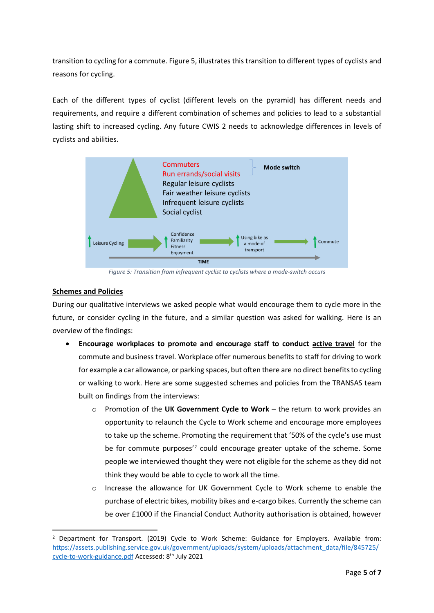transition to cycling for a commute. [Figure 5,](#page-4-0) illustrates this transition to different types of cyclists and reasons for cycling.

Each of the different types of cyclist (different levels on the pyramid) has different needs and requirements, and require a different combination of schemes and policies to lead to a substantial lasting shift to increased cycling. Any future CWIS 2 needs to acknowledge differences in levels of cyclists and abilities.



*Figure 5: Transition from infrequent cyclist to cyclists where a mode-switch occurs*

# <span id="page-4-0"></span>**Schemes and Policies**

During our qualitative interviews we asked people what would encourage them to cycle more in the future, or consider cycling in the future, and a similar question was asked for walking. Here is an overview of the findings:

- **Encourage workplaces to promote and encourage staff to conduct active travel** for the commute and business travel. Workplace offer numerous benefits to staff for driving to work for example a car allowance, or parking spaces, but often there are no direct benefits to cycling or walking to work. Here are some suggested schemes and policies from the TRANSAS team built on findings from the interviews:
	- o Promotion of the **UK Government Cycle to Work** the return to work provides an opportunity to relaunch the Cycle to Work scheme and encourage more employees to take up the scheme. Promoting the requirement that '50% of the cycle's use must be for commute purposes<sup>'2</sup> could encourage greater uptake of the scheme. Some people we interviewed thought they were not eligible for the scheme as they did not think they would be able to cycle to work all the time.
	- Increase the allowance for UK Government Cycle to Work scheme to enable the purchase of electric bikes, mobility bikes and e-cargo bikes. Currently the scheme can be over £1000 if the Financial Conduct Authority authorisation is obtained, however

<sup>&</sup>lt;sup>2</sup> Department for Transport. (2019) Cycle to Work Scheme: Guidance for Employers. Available from: [https://assets.publishing.service.gov.uk/government/uploads/system/uploads/attachment\\_data/file/845725/](https://assets.publishing.service.gov.uk/government/uploads/system/uploads/attachment_data/file/845725/cycle-to-work-guidance.pdf) [cycle-to-work-guidance.pdf](https://assets.publishing.service.gov.uk/government/uploads/system/uploads/attachment_data/file/845725/cycle-to-work-guidance.pdf) Accessed: 8th July 2021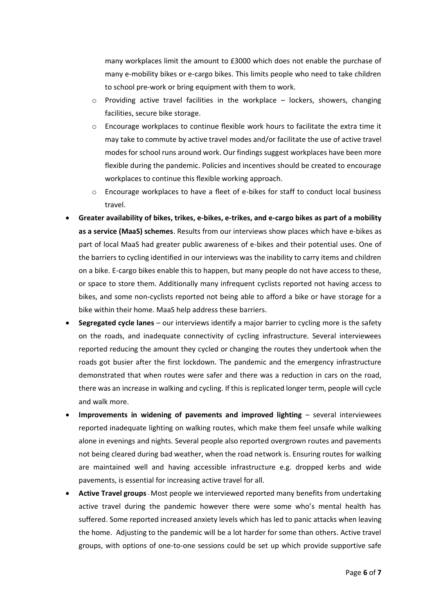many workplaces limit the amount to £3000 which does not enable the purchase of many e-mobility bikes or e-cargo bikes. This limits people who need to take children to school pre-work or bring equipment with them to work.

- $\circ$  Providing active travel facilities in the workplace lockers, showers, changing facilities, secure bike storage.
- $\circ$  Encourage workplaces to continue flexible work hours to facilitate the extra time it may take to commute by active travel modes and/or facilitate the use of active travel modes for school runs around work. Our findings suggest workplaces have been more flexible during the pandemic. Policies and incentives should be created to encourage workplaces to continue this flexible working approach.
- $\circ$  Encourage workplaces to have a fleet of e-bikes for staff to conduct local business travel.
- **Greater availability of bikes, trikes, e-bikes, e-trikes, and e-cargo bikes as part of a mobility as a service (MaaS) schemes**. Results from our interviews show places which have e-bikes as part of local MaaS had greater public awareness of e-bikes and their potential uses. One of the barriers to cycling identified in our interviews was the inability to carry items and children on a bike. E-cargo bikes enable this to happen, but many people do not have access to these, or space to store them. Additionally many infrequent cyclists reported not having access to bikes, and some non-cyclists reported not being able to afford a bike or have storage for a bike within their home. MaaS help address these barriers.
- **Segregated cycle lanes** our interviews identify a major barrier to cycling more is the safety on the roads, and inadequate connectivity of cycling infrastructure. Several interviewees reported reducing the amount they cycled or changing the routes they undertook when the roads got busier after the first lockdown. The pandemic and the emergency infrastructure demonstrated that when routes were safer and there was a reduction in cars on the road, there was an increase in walking and cycling. If this is replicated longer term, people will cycle and walk more.
- **Improvements in widening of pavements and improved lighting** several interviewees reported inadequate lighting on walking routes, which make them feel unsafe while walking alone in evenings and nights. Several people also reported overgrown routes and pavements not being cleared during bad weather, when the road network is. Ensuring routes for walking are maintained well and having accessible infrastructure e.g. dropped kerbs and wide pavements, is essential for increasing active travel for all.
- **Active Travel groups** Most people we interviewed reported many benefits from undertaking active travel during the pandemic however there were some who's mental health has suffered. Some reported increased anxiety levels which has led to panic attacks when leaving the home. Adjusting to the pandemic will be a lot harder for some than others. Active travel groups, with options of one-to-one sessions could be set up which provide supportive safe